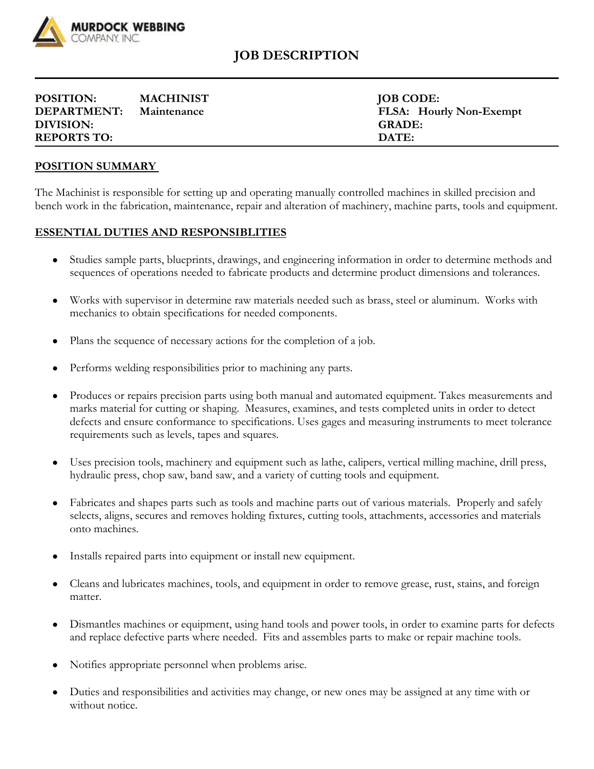

## **JOB DESCRIPTION**

| <b>POSITION:</b>   | <b>MACHINIST</b> | <b>JOB CODE:</b>               |
|--------------------|------------------|--------------------------------|
| <b>DEPARTMENT:</b> | Maintenance      | <b>FLSA:</b> Hourly Non-Exempt |
| DIVISION:          |                  | <b>GRADE:</b>                  |
| <b>REPORTS TO:</b> |                  | DATE:                          |

## **POSITION SUMMARY**

The Machinist is responsible for setting up and operating manually controlled machines in skilled precision and bench work in the fabrication, maintenance, repair and alteration of machinery, machine parts, tools and equipment.

## **ESSENTIAL DUTIES AND RESPONSIBLITIES**

- Studies sample parts, blueprints, drawings, and engineering information in order to determine methods and sequences of operations needed to fabricate products and determine product dimensions and tolerances.
- Works with supervisor in determine raw materials needed such as brass, steel or aluminum. Works with mechanics to obtain specifications for needed components.
- Plans the sequence of necessary actions for the completion of a job.
- Performs welding responsibilities prior to machining any parts.
- Produces or repairs precision parts using both manual and automated equipment. Takes measurements and marks material for cutting or shaping. Measures, examines, and tests completed units in order to detect defects and ensure conformance to specifications. Uses gages and measuring instruments to meet tolerance requirements such as levels, tapes and squares.
- Uses precision tools, machinery and equipment such as lathe, calipers, vertical milling machine, drill press, hydraulic press, chop saw, band saw, and a variety of cutting tools and equipment.
- Fabricates and shapes parts such as tools and machine parts out of various materials. Properly and safely selects, aligns, secures and removes holding fixtures, cutting tools, attachments, accessories and materials onto machines.
- Installs repaired parts into equipment or install new equipment.
- Cleans and lubricates machines, tools, and equipment in order to remove grease, rust, stains, and foreign matter.
- Dismantles machines or equipment, using hand tools and power tools, in order to examine parts for defects and replace defective parts where needed. Fits and assembles parts to make or repair machine tools.
- Notifies appropriate personnel when problems arise.
- Duties and responsibilities and activities may change, or new ones may be assigned at any time with or without notice.